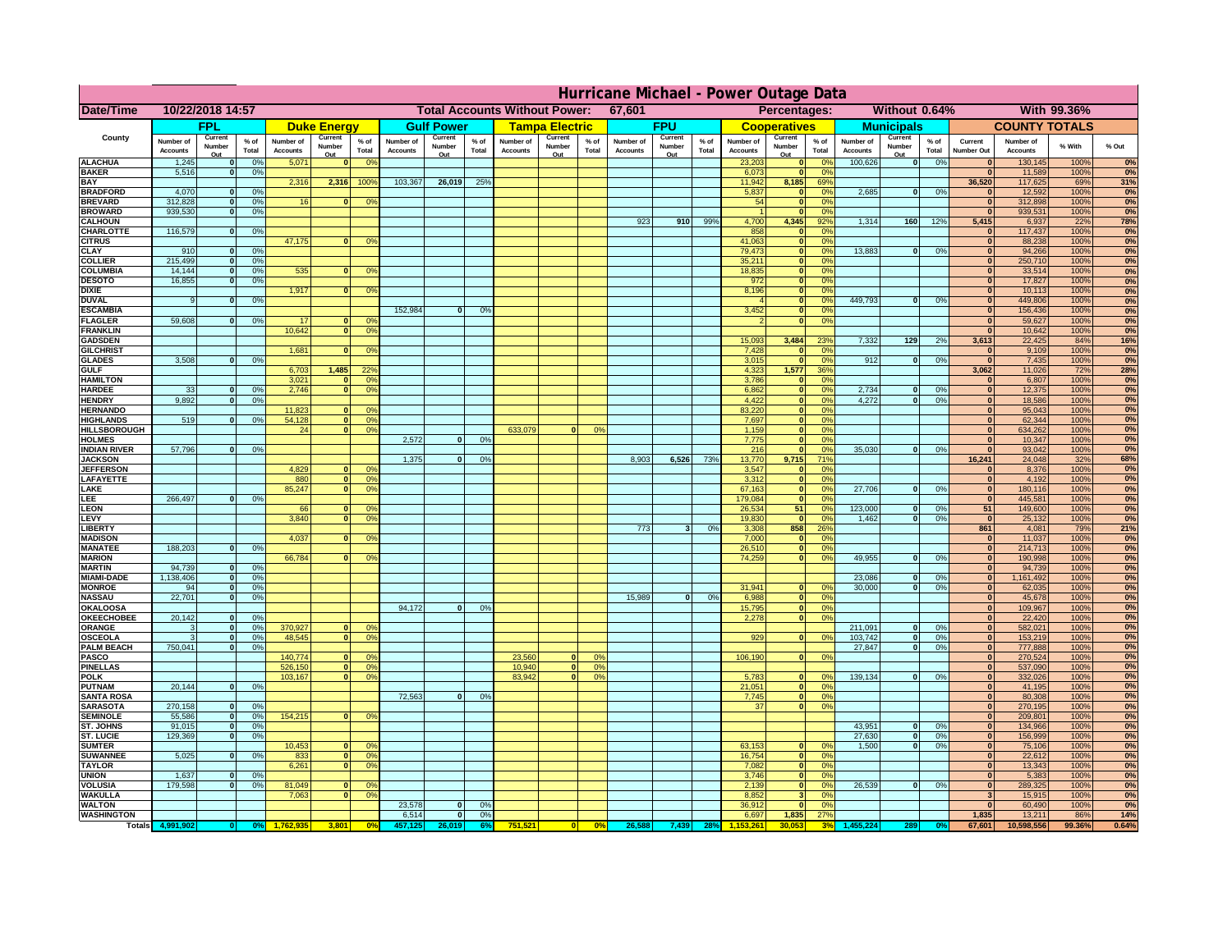|                                         | Hurricane Michael - Power Outage Data |                              |                      |                              |                      |                                                  |                              |                   |                 |                              |                               |                      |                              |                   |                 |                              |                              |                                  |                              |                                |                 |                              |                              |               |                  |
|-----------------------------------------|---------------------------------------|------------------------------|----------------------|------------------------------|----------------------|--------------------------------------------------|------------------------------|-------------------|-----------------|------------------------------|-------------------------------|----------------------|------------------------------|-------------------|-----------------|------------------------------|------------------------------|----------------------------------|------------------------------|--------------------------------|-----------------|------------------------------|------------------------------|---------------|------------------|
| Date/Time                               | 10/22/2018 14:57                      |                              |                      |                              |                      | <b>Total Accounts Without Power:</b><br>67,601   |                              |                   |                 |                              | Without 0.64%<br>Percentages: |                      |                              |                   |                 |                              | With 99.36%                  |                                  |                              |                                |                 |                              |                              |               |                  |
|                                         |                                       | <b>FPL</b>                   |                      |                              | <b>Duke Energy</b>   |                                                  |                              | <b>Gulf Power</b> |                 |                              | <b>Tampa Electric</b>         |                      |                              | <b>FPU</b>        |                 |                              | <b>Cooperatives</b>          |                                  |                              | <b>Municipals</b>              |                 |                              | <b>COUNTY TOTALS</b>         |               |                  |
| County                                  | Number of<br><b>Accounts</b>          | Current<br>Number            | $%$ of<br>Total      | Number of<br><b>Accounts</b> | Current<br>Number    | $%$ of<br>Total                                  | Number of<br><b>Accounts</b> | Current<br>Number | $%$ of<br>Total | Number of<br><b>Accounts</b> | Current<br>Number             | $%$ of<br>Total      | Number of<br><b>Accounts</b> | Current<br>Number | $%$ of<br>Total | Number of<br><b>Accounts</b> | Current<br>Number            | $%$ of<br>Total                  | Number of<br><b>Accounts</b> | Current<br>Number              | $%$ of<br>Total | Current<br><b>Number Out</b> | Number of<br><b>Accounts</b> | % With        | % Out            |
| <b>ALACHUA</b>                          | 1,245                                 | Out<br>$\mathbf{0}$          | 0%                   | 5,071                        | Out<br>$\bf{0}$      | 0 <sup>9</sup>                                   |                              | Out               |                 |                              | Out                           |                      |                              | Out               |                 | 23,203                       | Out<br>$\mathbf{0}$          | $\Omega$ <sup>c</sup>            | 100,626                      | Out<br>$\overline{\mathbf{0}}$ | 0%              | $\bf{0}$                     | 130,145                      | 100%          | 0%               |
| <b>BAKER</b>                            | 5,516                                 | $\mathbf{0}$                 | 0%                   |                              |                      |                                                  |                              |                   |                 |                              |                               |                      |                              |                   |                 | 6,073                        | $\mathbf{0}$                 | 0 <sup>9</sup>                   |                              |                                |                 | $\bf{0}$                     | 11,589                       | 100%          | 0%               |
| <b>BAY</b><br><b>BRADFORD</b>           | 4,070                                 | $\mathbf{0}$                 | 0%                   | 2,316                        | 2,316                | 100%                                             | 103,367                      | 26,019            | 25%             |                              |                               |                      |                              |                   |                 | 11,942<br>5,837              | 8,185<br>$\mathbf{0}$        | 69%<br>0 <sup>9</sup>            | 2,685                        | 0                              | 0%              | 36,520<br>$\bf{0}$           | 117,625<br>12,592            | 69%<br>100%   | 31%<br>0%        |
| <b>BREVARD</b>                          | 312,828                               | $\mathbf{0}$                 | 0%                   | 16                           | $\mathbf{0}$         | 0 <sup>o</sup>                                   |                              |                   |                 |                              |                               |                      |                              |                   |                 | 54                           | $\mathbf{0}$                 | 0 <sup>9</sup>                   |                              |                                |                 | $\bf{0}$                     | 312,898                      | 100%          | 0%               |
| <b>BROWARD</b>                          | 939.530                               | $\Omega$                     | 0%                   |                              |                      |                                                  |                              |                   |                 |                              |                               |                      |                              |                   |                 |                              | $\mathbf{0}$                 | 0 <sup>9</sup>                   |                              |                                |                 | $\bf{0}$                     | 939,531                      | 100%          | 0%               |
| <b>CALHOUN</b><br>CHARLOTTE             | 116,579                               | $\mathbf 0$                  | 0%                   |                              |                      |                                                  |                              |                   |                 |                              |                               |                      | 923                          | 910               | 99%             | 4,700<br>858                 | 4,345                        | 92%<br>0%                        | 1,314                        | 160                            | 12%             | 5,415                        | 6,937<br>117,437             | 22%<br>100%   | <b>78%</b><br>0% |
| <b>CITRUS</b>                           |                                       |                              |                      | 47,175                       | $\mathbf{0}$         | 0 <sup>o</sup>                                   |                              |                   |                 |                              |                               |                      |                              |                   |                 | 41,063                       | $\mathbf{0}$                 | $\Omega$ <sup>c</sup>            |                              |                                |                 | $\mathbf{0}$                 | 88,238                       | 100%          | 0%               |
| <b>CLAY</b>                             | 910                                   | $\mathbf{0}$                 | 0%                   |                              |                      |                                                  |                              |                   |                 |                              |                               |                      |                              |                   |                 | 79,473                       | $\mathbf{0}$                 | 0 <sup>9</sup>                   | 13,883                       | 0                              | 0%              | $\mathbf{0}$                 | 94,266                       | 100%          | 0%               |
| <b>COLLIER</b><br><b>COLUMBIA</b>       | 215,499<br>14,144                     | $\mathbf{0}$<br>$\mathbf{0}$ | 0 <sup>9</sup><br>0% | 535                          | $\bf{0}$             | 0 <sup>9</sup>                                   |                              |                   |                 |                              |                               |                      |                              |                   |                 | 35,211<br>18,835             | $\mathbf{0}$<br>$\mathbf{0}$ | 0 <sup>9</sup><br>0 <sup>9</sup> |                              |                                |                 | $\mathbf{0}$<br>$\bf{0}$     | 250,710<br>33,514            | 100%<br>100%  | 0%<br>0%         |
| <b>DESOTO</b>                           | 16,855                                | $\mathbf{0}$                 | 0%                   |                              |                      |                                                  |                              |                   |                 |                              |                               |                      |                              |                   |                 | 972                          | $\mathbf{0}$                 | 0 <sup>9</sup>                   |                              |                                |                 | $\bf{0}$                     | 17,827                       | 100%          | 0%               |
| <b>DIXIE</b>                            |                                       |                              |                      | 1,917                        | $\Omega$             | 0 <sup>9</sup>                                   |                              |                   |                 |                              |                               |                      |                              |                   |                 | 8,196                        | $\mathbf{0}$                 | 0 <sup>9</sup>                   | 449.793                      |                                |                 | $\bf{0}$                     | 10,113                       | 100%          | 0%               |
| <b>DUVAL</b><br><b>ESCAMBIA</b>         | 9                                     | $\Omega$                     | 0%                   |                              |                      |                                                  | 152,984                      | 0                 | 0%              |                              |                               |                      |                              |                   |                 | 3,452                        | $\mathbf{0}$<br>$\mathbf{0}$ | 0 <sup>9</sup><br>0%             |                              | $\mathbf{0}$                   | 0%              | $\bf{0}$<br>$\bullet$        | 449,806<br>156,436           | 100%<br>100%  | 0%<br>0%         |
| <b>FLAGLER</b>                          | 59,608                                | $\Omega$                     | 0%                   | 17                           |                      | 0°                                               |                              |                   |                 |                              |                               |                      |                              |                   |                 |                              | $\mathbf{0}$                 | 0%                               |                              |                                |                 | $\bf{0}$                     | 59,627                       | 100%          | 0%               |
| <b>FRANKLIN</b>                         |                                       |                              |                      | 10,642                       | 0                    | 0 <sup>9</sup>                                   |                              |                   |                 |                              |                               |                      |                              |                   |                 |                              |                              |                                  |                              |                                |                 | $\Omega$                     | 10,642                       | 100%          | 0%               |
| <b>GADSDEN</b><br><b>GILCHRIST</b>      |                                       |                              |                      | 1,681                        | $\mathbf{0}$         | 0 <sup>9</sup>                                   |                              |                   |                 |                              |                               |                      |                              |                   |                 | 15,093<br>7,428              | 3,484<br>$\mathbf{0}$        | 23%<br>0 <sup>9</sup>            | 7,332                        | 129                            | 2%              | 3,613<br>$\mathbf{0}$        | 22,425<br>9,109              | 84%<br>100%   | <b>16%</b><br>0% |
| <b>GLADES</b>                           | 3,508                                 | $\mathbf{0}$                 | 0%                   |                              |                      |                                                  |                              |                   |                 |                              |                               |                      |                              |                   |                 | 3,015                        | $\mathbf{0}$                 | 0%                               | 912                          | $\overline{0}$                 | 0%              | $\mathbf{0}$                 | 7,435                        | 100%          | 0%               |
| <b>GULF</b>                             |                                       |                              |                      | 6,703                        | 1,485                | 22 <sup>o</sup>                                  |                              |                   |                 |                              |                               |                      |                              |                   |                 | 4,323                        | 1,577                        | 36%                              |                              |                                |                 | 3,062                        | 11,026                       | 72%           | 28%              |
| <b>HAMILTON</b><br><b>HARDEE</b>        | 33                                    | $\mathbf{0}$                 | 0%                   | 3,021<br>2.746               | $\Omega$<br>$\Omega$ | 0 <sup>9</sup><br>0 <sup>9</sup>                 |                              |                   |                 |                              |                               |                      |                              |                   |                 | 3,786<br>6,862               | $\Omega$<br>$\mathbf{0}$     | 0%<br>0%                         | 2,734                        | $\mathbf{0}$                   | 0%              | $\bf{0}$<br>$\mathbf{0}$     | 6,807<br>12,375              | 100%<br>100%  | 0%<br>0%         |
| <b>HENDRY</b>                           | 9,892                                 | $\Omega$                     | 0%                   |                              |                      |                                                  |                              |                   |                 |                              |                               |                      |                              |                   |                 | 4,422                        | $\Omega$                     | 0%                               | 4,272                        | $\mathbf{0}$                   | 0%              | 0                            | 18,586                       | 100%          | 0%               |
| <b>HERNANDO</b>                         |                                       |                              |                      | 11,823                       |                      | 0 <sup>9</sup>                                   |                              |                   |                 |                              |                               |                      |                              |                   |                 | 83,220                       | $\mathbf{0}$                 | 0%                               |                              |                                |                 | 0                            | 95,043                       | 100%          | 0%               |
| <b>HIGHLANDS</b><br><b>HILLSBOROUGH</b> | 519                                   | $\Omega$                     | 0%                   | 54,128<br>24                 | 0                    | $\mathbf{0}$<br>0 <sup>9</sup><br>0 <sup>9</sup> |                              |                   |                 | 633,079                      | $\Omega$                      | 0%                   |                              |                   |                 | 7,697<br>1,159               | $\mathbf{0}$<br>$\mathbf{0}$ | 0%<br>0%                         |                              |                                |                 | $\mathbf{0}$<br>$\mathbf{0}$ | 62,344<br>634,262            | 100%<br>100%  | 0%<br>0%         |
| <b>HOLMES</b>                           |                                       |                              |                      |                              |                      |                                                  | 2,572                        | $\Omega$          | 0%              |                              |                               |                      |                              |                   |                 | 7,775                        | $\mathbf{0}$                 | 0 <sup>9</sup>                   |                              |                                |                 | $\mathbf{0}$                 | 10,347                       | 100%          | 0%               |
| <b>INDIAN RIVER</b>                     | 57,796                                | 0I                           | 0%                   |                              |                      |                                                  |                              |                   |                 |                              |                               |                      |                              |                   |                 | 216                          | $\mathbf{0}$                 | 0%                               | 35,030                       | $\mathbf{0}$                   | 0%              | $\mathbf{0}$                 | 93,042                       | 100%          | 0%               |
| <b>JACKSON</b><br><b>JEFFERSON</b>      |                                       |                              |                      | 4.829                        | $\Omega$             | 0 <sup>9</sup>                                   | 1.375                        | $\Omega$          | 0%              |                              |                               |                      | 8.903                        | 6.526             | 73%             | 13.770<br>3,547              | 9.715<br>$\Omega$            | 71%<br>0%                        |                              |                                |                 | 16.241<br>$\bf{0}$           | 24,048<br>8,376              | 32%<br>100%   | 68%<br>0%        |
| LAFAYETTE                               |                                       |                              |                      | 880                          |                      | $\overline{0}$<br>0%                             |                              |                   |                 |                              |                               |                      |                              |                   |                 | 3.312                        | $\mathbf{0}$                 | 0%                               |                              |                                |                 | $\mathbf{0}$                 | 4.192                        | 100%          | 0%               |
| LAKE                                    |                                       |                              |                      | 85,247                       | $\mathbf{0}$         | 0 <sup>9</sup>                                   |                              |                   |                 |                              |                               |                      |                              |                   |                 | 67,163                       | $\Omega$                     | 0%                               | 27,706                       | n l                            | 0%              | 0                            | 180,116                      | 100%          | 0%               |
| EE.<br>LEON                             | 266,497                               |                              | 0%                   | 66                           | $\mathbf{0}$         | 0 <sup>o</sup>                                   |                              |                   |                 |                              |                               |                      |                              |                   |                 | 179,084<br>26,534            | $\mathbf{0}$<br>51           | 0%<br>0%                         | 123,000                      | $\bf{0}$                       | 0%              | 0 <br>51                     | 445,581<br>149,600           | 100%<br>100%  | 0%<br>0%         |
| LEVY                                    |                                       |                              |                      | 3,840                        | $\Omega$             | 0 <sup>9</sup>                                   |                              |                   |                 |                              |                               |                      |                              |                   |                 | 19,830                       | $\mathbf{0}$                 | 0 <sup>9</sup>                   | 1,462                        | $\Omega$                       | 0%              | $\mathbf{0}$                 | 25,132                       | 100%          | 0%               |
| <b>LIBERT</b>                           |                                       |                              |                      |                              |                      |                                                  |                              |                   |                 |                              |                               |                      | 773                          | $\mathbf{3}$      | 0%              | 3,308                        | 858                          | 26%                              |                              |                                |                 | 861                          | 4,081                        | 79%           | 21%              |
| <b>MADISON</b><br><b>MANATEE</b>        | 188,203                               | $\mathbf{0}$                 | 0%                   | 4,037                        |                      | 0 <sup>9</sup>                                   |                              |                   |                 |                              |                               |                      |                              |                   |                 | 7,000<br>26,510              | $\mathbf{0}$                 | 0%<br>0%                         |                              |                                |                 | $\mathbf{0}$<br> 0           | 11,037<br>214,713            | 100%<br>100%  | 0%<br>0%         |
| <b>MARION</b>                           |                                       |                              |                      | 66,784                       |                      | 0°                                               |                              |                   |                 |                              |                               |                      |                              |                   |                 | 74,259                       | $\mathbf{0}$                 | 0%                               | 49,955                       | $\mathbf{0}$                   | 0%              | 0                            | 190,998                      | 100%          | 0%               |
| <b>MARTIN</b>                           | 94,739                                | 0                            | 0%                   |                              |                      |                                                  |                              |                   |                 |                              |                               |                      |                              |                   |                 |                              |                              |                                  |                              |                                |                 | 0                            | 94,739                       | 100%          | 0%               |
| <b>MIAMI-DADE</b><br><b>MONROE</b>      | 1,138,406<br>94                       | 0 <br> 0                     | 0%<br>0%             |                              |                      |                                                  |                              |                   |                 |                              |                               |                      |                              |                   |                 | 31,941                       |                              | 0 <sup>o</sup>                   | 23,086<br>30,000             | 0 <br>$\Omega$                 | 0%<br>0%        | 0 <br> 0                     | 1,161,492<br>62,035          | 100%<br>100%  | 0%<br>0%         |
| <b>NASSAU</b>                           | 22,701                                | 0                            | 0%                   |                              |                      |                                                  |                              |                   |                 |                              |                               |                      | 15,989                       | 0                 | 0%              | 6,988                        | $\mathbf{0}$                 | 0 <sup>9</sup>                   |                              |                                |                 | $\mathbf{0}$                 | 45,678                       | 100%          | 0%               |
| OKALOOS/                                |                                       |                              |                      |                              |                      |                                                  | 94,172                       | $\mathbf{0}$      | 0%              |                              |                               |                      |                              |                   |                 | 15,795                       | 0                            | 0%                               |                              |                                |                 | $\mathbf{0}$                 | 109,967                      | 100%          | 0%               |
| <b>OKEECHOBEE</b><br>ORANGE             | 20,142<br>3                           | 0 <br> 0                     | 0%<br>0%             | 370,927                      | $\mathbf{0}$         | 0 <sup>o</sup>                                   |                              |                   |                 |                              |                               |                      |                              |                   |                 | 2,278                        | 0                            | 0%                               | 211,091                      | $\mathbf{0}$                   | 0%              | $\mathbf{0}$<br>$\mathbf{0}$ | 22,420<br>582,021            | 100%<br>100%  | 0%<br>0%         |
| <b>OSCEOLA</b>                          | 3                                     | 0                            | 0%                   | 48,545                       | $\Omega$             | 0 <sup>9</sup>                                   |                              |                   |                 |                              |                               |                      |                              |                   |                 | 929                          | $\Omega$                     | 0 <sup>9</sup>                   | 103,742                      | 0                              | 0%              | 0                            | 153,219                      | 100%          | 0%               |
| <b>PALM BEACH</b>                       | 750,041                               | 0                            | 0%                   |                              |                      |                                                  |                              |                   |                 |                              |                               |                      |                              |                   |                 |                              |                              |                                  | 27,847                       | $\mathbf{0}$                   | 0%              | $\mathbf{0}$<br>$\mathbf{0}$ | 777,888                      | 100%          | 0%               |
| PASCO<br><b>PINELLAS</b>                |                                       |                              |                      | 140,774<br>526,150           | $\mathbf{0}$         | 0 <sup>9</sup><br>0 <sup>9</sup><br> 0           |                              |                   |                 | 23,560<br>10,940             | $\Omega$<br> 0                | 0 <sup>9</sup><br>0% |                              |                   |                 | 106,190                      | 0                            | 0 <sup>9</sup>                   |                              |                                |                 | $\mathbf{0}$                 | 270,524<br>537,090           | 100%<br>100%  | 0%<br>0%         |
| <b>POLK</b>                             |                                       |                              |                      | 103,167                      | 0                    | 0 <sup>9</sup>                                   |                              |                   |                 | 83,942                       | 0                             | 0%                   |                              |                   |                 | 5,783                        | $\Omega$                     | no                               | 139,134                      | 0                              | 0%              | $\mathbf{0}$                 | 332,026                      | 100%          | 0%               |
| <b>PUTNAM</b>                           | 20,144                                | 0                            | 0%                   |                              |                      |                                                  |                              |                   |                 |                              |                               |                      |                              |                   |                 | 21,051                       | $\mathbf{0}$                 | 0 <sup>9</sup>                   |                              |                                |                 | $\mathbf{0}$                 | 41,195                       | 100%          | 0%               |
| <b>SANTA ROSA</b><br><b>SARASOTA</b>    | 270,158                               | 0                            | 0%                   |                              |                      |                                                  | 72,563                       | 0                 | 0%              |                              |                               |                      |                              |                   |                 | 7,745<br>37                  | 0 <br>$\overline{0}$         | 0%<br>0%                         |                              |                                |                 | $\mathbf{0}$<br>$\mathbf{0}$ | 80,308<br>270,195            | 100%<br>100%  | 0%<br>0%         |
| <b>SEMINOLE</b>                         | 55,586                                | 0                            | 0%                   | 154,215                      |                      | $\mathbf{0}$<br>0 <sup>9</sup>                   |                              |                   |                 |                              |                               |                      |                              |                   |                 |                              |                              |                                  |                              |                                |                 | $\mathbf{0}$                 | 209,801                      | 100%          | 0%               |
| <b>ST. JOHNS</b>                        | 91,015                                | 0                            | 0%                   |                              |                      |                                                  |                              |                   |                 |                              |                               |                      |                              |                   |                 |                              |                              |                                  | 43,951                       | 0                              | 0%              | $\mathbf{0}$                 | 134,966                      | 100%          | 0%               |
| <b>ST. LUCIE</b><br><b>SUMTER</b>       | 129.369                               | $\mathbf{0}$                 | 0%                   | 10,453                       |                      | $\mathbf{0}$<br>0 <sup>9</sup>                   |                              |                   |                 |                              |                               |                      |                              |                   |                 | 63,153                       | $\mathbf{0}$                 | 0 <sup>o</sup>                   | 27,630<br>1.500              | $\overline{0}$<br> 0           | 0%<br>0%        | 0 <br>$\mathbf{0}$           | 156.999<br>75,106            | 100%<br>100%  | 0%<br>0%         |
| <b>SUWANNEE</b>                         | 5,025                                 | $\Omega$                     | 0%                   | 833                          | 0                    | 0 <sup>9</sup>                                   |                              |                   |                 |                              |                               |                      |                              |                   |                 | 16,754                       | $\mathbf{0}$                 | 0 <sup>9</sup>                   |                              |                                |                 | $\mathbf{0}$                 | 22,612                       | 100%          | 0%               |
| <b>TAYLOR</b>                           |                                       |                              |                      | 6,261                        | 0                    | 0 <sup>9</sup>                                   |                              |                   |                 |                              |                               |                      |                              |                   |                 | 7,082                        | $\mathbf{0}$                 | 0%                               |                              |                                |                 | $\mathbf{0}$                 | 13,343                       | 100%          | 0%               |
| <b>UNION</b><br><b>VOLUSIA</b>          | 1,637<br>179,598                      | $\mathbf{0}$<br>$\mathbf{0}$ | 0%<br>0%             | 81,049                       | $\bf{0}$             | 0 <sup>9</sup>                                   |                              |                   |                 |                              |                               |                      |                              |                   |                 | 3,746<br>2,139               | $\mathbf{0}$<br>$\mathbf{0}$ | 0 <sup>9</sup><br>0 <sup>9</sup> | 26,539                       | 0                              | 0%              | $\mathbf{0}$<br>$\mathbf{0}$ | 5,383<br>289,325             | 100%<br>100%  | 0%<br>0%         |
| <b>WAKULLA</b>                          |                                       |                              |                      | 7,063                        | $\bf{0}$             | 0 <sup>9</sup>                                   |                              |                   |                 |                              |                               |                      |                              |                   |                 | 8,852                        |                              | 0 <sup>9</sup>                   |                              |                                |                 | 3                            | 15,915                       | 100%          | 0%               |
| <b>WALTON</b><br><b>WASHINGTON</b>      |                                       |                              |                      |                              |                      |                                                  | 23,578<br>6,514              | $\mathbf{0}$      | 0%              |                              |                               |                      |                              |                   |                 | 36,912                       |                              | 0 <sup>9</sup>                   |                              |                                |                 | $\bf{0}$                     | 60,490                       | 100%          | 0%               |
| <b>Totals</b>                           |                                       |                              |                      |                              | 3,801                | 0 <sup>6</sup>                                   |                              | 0                 | 0%              | 751,52                       |                               | 0%                   | 26,58                        | 7,439             |                 | 6,697                        | 1,835<br>30.05               | 27%                              |                              |                                |                 | 1,835<br>67,601              | 13,211<br>10,598,556         | 86%<br>99.36% | 14%<br>0.64%     |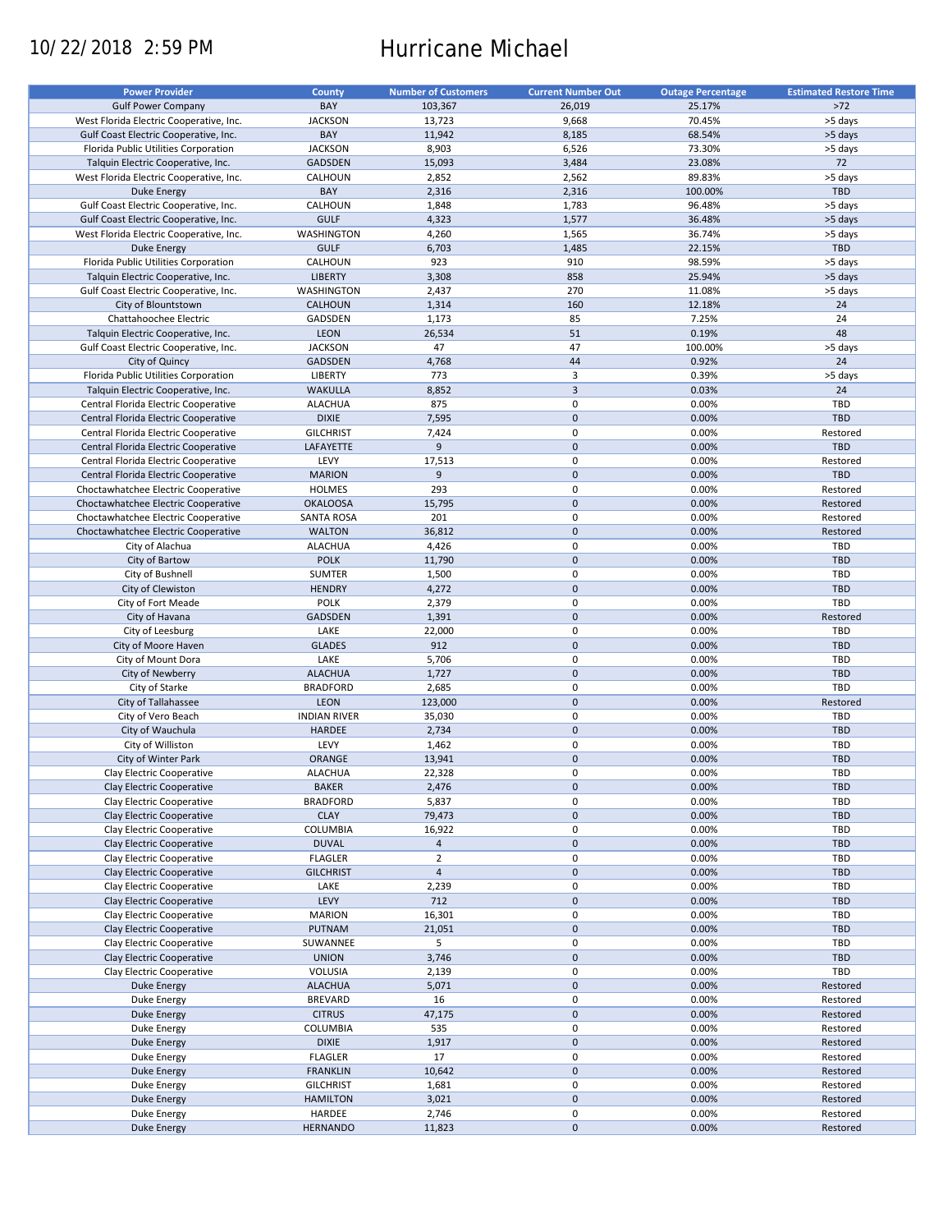# 10/22/2018 2:59 PM Hurricane Michael

| <b>Power Provider</b>                   | <b>County</b>       | <b>Number of Customers</b> | <b>Current Number Out</b> | <b>Outage Percentage</b> | <b>Estimated Restore Time</b> |
|-----------------------------------------|---------------------|----------------------------|---------------------------|--------------------------|-------------------------------|
| <b>Gulf Power Company</b>               | BAY                 | 103,367                    | 26,019                    | 25.17%                   | $>72$                         |
|                                         |                     |                            |                           |                          |                               |
| West Florida Electric Cooperative, Inc. | <b>JACKSON</b>      | 13,723                     | 9,668                     | 70.45%                   | >5 days                       |
| Gulf Coast Electric Cooperative, Inc.   | BAY                 | 11,942                     | 8,185                     | 68.54%                   | >5 days                       |
| Florida Public Utilities Corporation    | <b>JACKSON</b>      | 8,903                      | 6,526                     | 73.30%                   | >5 days                       |
| Talquin Electric Cooperative, Inc.      | <b>GADSDEN</b>      | 15,093                     | 3,484                     | 23.08%                   | 72                            |
| West Florida Electric Cooperative, Inc. | CALHOUN             | 2,852                      | 2,562                     | 89.83%                   | >5 days                       |
| Duke Energy                             | BAY                 | 2,316                      | 2,316                     | 100.00%                  | <b>TBD</b>                    |
| Gulf Coast Electric Cooperative, Inc.   | CALHOUN             | 1,848                      | 1,783                     | 96.48%                   | >5 days                       |
|                                         | <b>GULF</b>         |                            | 1,577                     | 36.48%                   |                               |
| Gulf Coast Electric Cooperative, Inc.   |                     | 4,323                      |                           |                          | >5 days                       |
| West Florida Electric Cooperative, Inc. | WASHINGTON          | 4,260                      | 1,565                     | 36.74%                   | >5 days                       |
| <b>Duke Energy</b>                      | <b>GULF</b>         | 6,703                      | 1,485                     | 22.15%                   | TBD                           |
| Florida Public Utilities Corporation    | CALHOUN             | 923                        | 910                       | 98.59%                   | >5 days                       |
| Talquin Electric Cooperative, Inc.      | <b>LIBERTY</b>      | 3,308                      | 858                       | 25.94%                   | >5 days                       |
| Gulf Coast Electric Cooperative, Inc.   | WASHINGTON          | 2,437                      | 270                       | 11.08%                   | >5 days                       |
| City of Blountstown                     | <b>CALHOUN</b>      | 1,314                      | 160                       | 12.18%                   | 24                            |
| Chattahoochee Electric                  | GADSDEN             | 1,173                      | 85                        | 7.25%                    | 24                            |
|                                         |                     |                            |                           |                          |                               |
| Talquin Electric Cooperative, Inc.      | <b>LEON</b>         | 26,534                     | 51                        | 0.19%                    | 48                            |
| Gulf Coast Electric Cooperative, Inc.   | <b>JACKSON</b>      | 47                         | 47                        | 100.00%                  | >5 days                       |
| City of Quincy                          | GADSDEN             | 4,768                      | 44                        | 0.92%                    | 24                            |
| Florida Public Utilities Corporation    | LIBERTY             | 773                        | 3                         | 0.39%                    | >5 days                       |
| Talquin Electric Cooperative, Inc.      | <b>WAKULLA</b>      | 8,852                      | $\overline{3}$            | 0.03%                    | 24                            |
| Central Florida Electric Cooperative    | <b>ALACHUA</b>      | 875                        | $\pmb{0}$                 | 0.00%                    | TBD                           |
|                                         |                     |                            | $\mathbf 0$               |                          |                               |
| Central Florida Electric Cooperative    | <b>DIXIE</b>        | 7,595                      |                           | 0.00%                    | <b>TBD</b>                    |
| Central Florida Electric Cooperative    | <b>GILCHRIST</b>    | 7,424                      | $\pmb{0}$                 | 0.00%                    | Restored                      |
| Central Florida Electric Cooperative    | LAFAYETTE           | 9                          | $\mathbf 0$               | 0.00%                    | <b>TBD</b>                    |
| Central Florida Electric Cooperative    | LEVY                | 17,513                     | $\pmb{0}$                 | 0.00%                    | Restored                      |
| Central Florida Electric Cooperative    | <b>MARION</b>       | 9                          | $\mathbf 0$               | 0.00%                    | TBD                           |
| Choctawhatchee Electric Cooperative     | <b>HOLMES</b>       | 293                        | $\mathbf 0$               | 0.00%                    | Restored                      |
| Choctawhatchee Electric Cooperative     | <b>OKALOOSA</b>     | 15,795                     | $\pmb{0}$                 | 0.00%                    | Restored                      |
|                                         | <b>SANTA ROSA</b>   | 201                        | $\mathbf 0$               | 0.00%                    | Restored                      |
| Choctawhatchee Electric Cooperative     |                     |                            |                           |                          |                               |
| Choctawhatchee Electric Cooperative     | <b>WALTON</b>       | 36,812                     | $\mathbf 0$               | 0.00%                    | Restored                      |
| City of Alachua                         | <b>ALACHUA</b>      | 4,426                      | 0                         | 0.00%                    | TBD                           |
| City of Bartow                          | <b>POLK</b>         | 11,790                     | $\mathbf 0$               | 0.00%                    | <b>TBD</b>                    |
| City of Bushnell                        | <b>SUMTER</b>       | 1,500                      | $\pmb{0}$                 | 0.00%                    | TBD                           |
| City of Clewiston                       | <b>HENDRY</b>       | 4,272                      | $\mathbf 0$               | 0.00%                    | <b>TBD</b>                    |
| City of Fort Meade                      | <b>POLK</b>         | 2,379                      | 0                         | 0.00%                    | TBD                           |
| City of Havana                          | GADSDEN             | 1,391                      | $\mathbf 0$               | 0.00%                    | Restored                      |
|                                         |                     |                            |                           |                          |                               |
| City of Leesburg                        | LAKE                | 22,000                     | $\pmb{0}$                 | 0.00%                    | TBD                           |
| City of Moore Haven                     | <b>GLADES</b>       | 912                        | $\pmb{0}$                 | 0.00%                    | <b>TBD</b>                    |
| City of Mount Dora                      | LAKE                | 5,706                      | 0                         | 0.00%                    | TBD                           |
| City of Newberry                        | <b>ALACHUA</b>      | 1,727                      | $\mathbf 0$               | 0.00%                    | TBD                           |
| City of Starke                          | <b>BRADFORD</b>     | 2,685                      | $\pmb{0}$                 | 0.00%                    | TBD                           |
| City of Tallahassee                     | LEON                | 123,000                    | $\mathbf 0$               | 0.00%                    | Restored                      |
|                                         |                     |                            | 0                         | 0.00%                    | TBD                           |
| City of Vero Beach                      | <b>INDIAN RIVER</b> | 35,030                     |                           |                          |                               |
| City of Wauchula                        | <b>HARDEE</b>       | 2,734                      | $\mathbf 0$               | 0.00%                    | <b>TBD</b>                    |
| City of Williston                       | LEVY                | 1,462                      | $\pmb{0}$                 | 0.00%                    | TBD                           |
| City of Winter Park                     | <b>ORANGE</b>       | 13,941                     | $\mathbf 0$               | 0.00%                    | <b>TBD</b>                    |
| Clay Electric Cooperative               | <b>ALACHUA</b>      | 22,328                     | $\mathbf 0$               | 0.00%                    | TBD                           |
| Clay Electric Cooperative               | <b>BAKER</b>        | 2,476                      | $\mathsf{O}\xspace$       | 0.00%                    | TBD                           |
| Clay Electric Cooperative               | <b>BRADFORD</b>     | 5,837                      | 0                         | 0.00%                    | TBD                           |
|                                         |                     |                            |                           |                          |                               |
| Clay Electric Cooperative               | <b>CLAY</b>         | 79,473                     | $\pmb{0}$                 | 0.00%                    | <b>TBD</b>                    |
| Clay Electric Cooperative               | COLUMBIA            | 16,922                     | 0                         | 0.00%                    | TBD                           |
| Clay Electric Cooperative               | <b>DUVAL</b>        | $\overline{a}$             | $\pmb{0}$                 | 0.00%                    | <b>TBD</b>                    |
| Clay Electric Cooperative               | <b>FLAGLER</b>      | $\overline{2}$             | 0                         | 0.00%                    | TBD                           |
| Clay Electric Cooperative               | <b>GILCHRIST</b>    | $\overline{4}$             | $\mathsf{O}\xspace$       | 0.00%                    | <b>TBD</b>                    |
| Clay Electric Cooperative               | LAKE                | 2,239                      | 0                         | 0.00%                    | TBD                           |
| Clay Electric Cooperative               | LEVY                | 712                        | $\pmb{0}$                 | 0.00%                    | TBD                           |
| Clay Electric Cooperative               | <b>MARION</b>       |                            | 0                         | 0.00%                    | TBD                           |
|                                         |                     | 16,301                     |                           |                          |                               |
| Clay Electric Cooperative               | PUTNAM              | 21,051                     | $\mathsf{O}\xspace$       | 0.00%                    | <b>TBD</b>                    |
| Clay Electric Cooperative               | SUWANNEE            | 5                          | 0                         | 0.00%                    | TBD                           |
| Clay Electric Cooperative               | <b>UNION</b>        | 3,746                      | $\mathsf{O}\xspace$       | 0.00%                    | TBD                           |
| Clay Electric Cooperative               | VOLUSIA             | 2,139                      | 0                         | 0.00%                    | TBD                           |
| Duke Energy                             | <b>ALACHUA</b>      | 5,071                      | $\pmb{0}$                 | 0.00%                    | Restored                      |
| Duke Energy                             | <b>BREVARD</b>      | 16                         | 0                         | 0.00%                    | Restored                      |
|                                         |                     |                            |                           |                          |                               |
| Duke Energy                             | <b>CITRUS</b>       | 47,175                     | $\pmb{0}$                 | 0.00%                    | Restored                      |
| Duke Energy                             | <b>COLUMBIA</b>     | 535                        | $\pmb{0}$                 | 0.00%                    | Restored                      |
| Duke Energy                             | <b>DIXIE</b>        | 1,917                      | $\pmb{0}$                 | 0.00%                    | Restored                      |
| Duke Energy                             | <b>FLAGLER</b>      | 17                         | $\pmb{0}$                 | 0.00%                    | Restored                      |
| <b>Duke Energy</b>                      | <b>FRANKLIN</b>     | 10,642                     | $\pmb{0}$                 | 0.00%                    | Restored                      |
| Duke Energy                             | <b>GILCHRIST</b>    | 1,681                      | $\pmb{0}$                 | 0.00%                    | Restored                      |
| <b>Duke Energy</b>                      | <b>HAMILTON</b>     | 3,021                      | $\pmb{0}$                 | 0.00%                    | Restored                      |
|                                         |                     |                            | 0                         |                          |                               |
| Duke Energy                             | HARDEE              | 2,746                      |                           | 0.00%                    | Restored                      |
| Duke Energy                             | <b>HERNANDO</b>     | 11,823                     | $\pmb{0}$                 | 0.00%                    | Restored                      |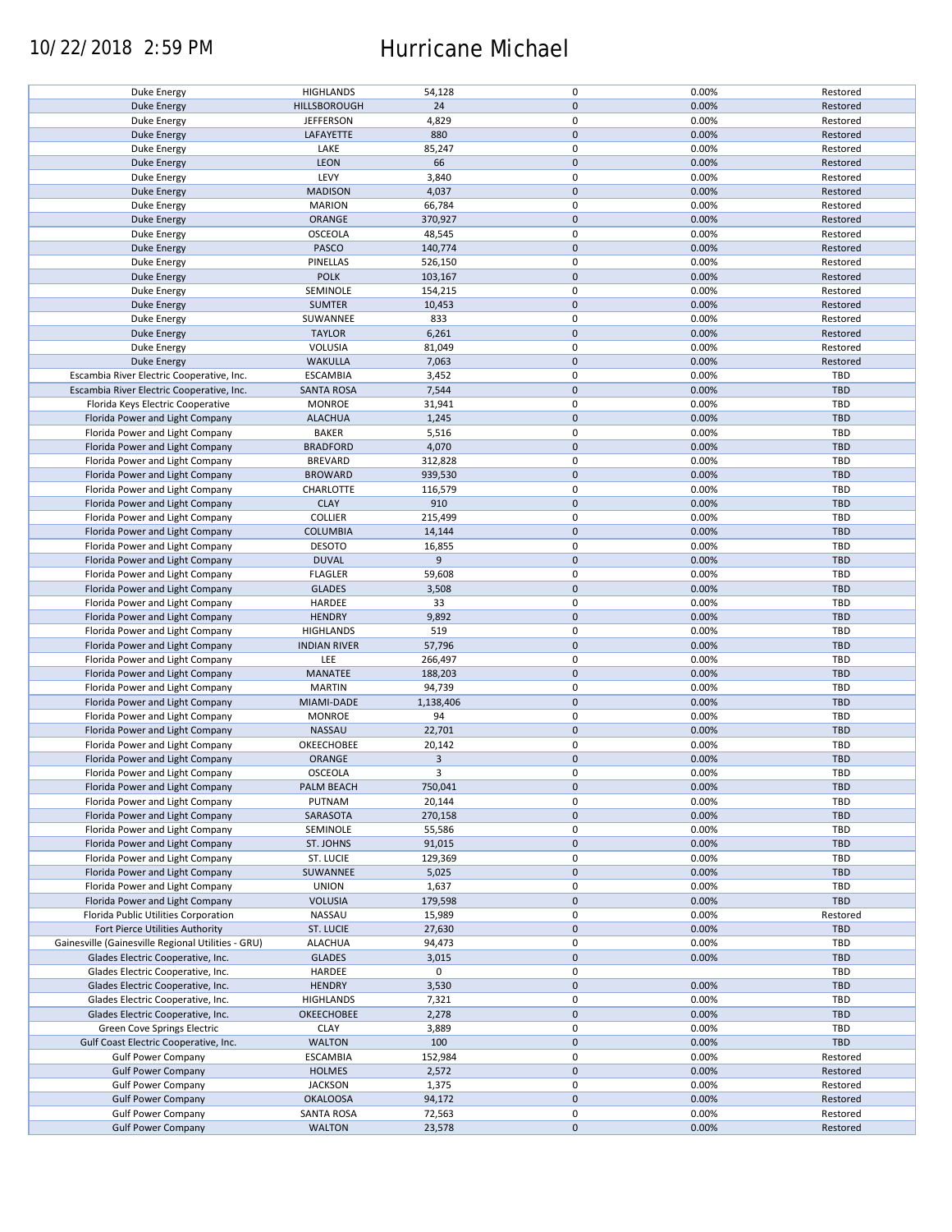### 10/22/2018 2:59 PM Hurricane Michael

| Duke Energy                                        | <b>HIGHLANDS</b>    | 54,128    | 0           | 0.00% | Restored   |
|----------------------------------------------------|---------------------|-----------|-------------|-------|------------|
| <b>Duke Energy</b>                                 | HILLSBOROUGH        | 24        | $\mathbf 0$ | 0.00% | Restored   |
|                                                    |                     |           |             |       |            |
| Duke Energy                                        | <b>JEFFERSON</b>    | 4,829     | 0           | 0.00% | Restored   |
|                                                    |                     |           |             |       |            |
| <b>Duke Energy</b>                                 | LAFAYETTE           | 880       | $\mathbf 0$ | 0.00% | Restored   |
| Duke Energy                                        | LAKE                | 85,247    | 0           | 0.00% | Restored   |
|                                                    |                     |           |             |       |            |
| <b>Duke Energy</b>                                 | <b>LEON</b>         | 66        | $\mathbf 0$ | 0.00% | Restored   |
| Duke Energy                                        | LEVY                | 3,840     | 0           | 0.00% | Restored   |
|                                                    |                     |           |             |       |            |
| Duke Energy                                        | <b>MADISON</b>      | 4,037     | $\pmb{0}$   | 0.00% | Restored   |
| Duke Energy                                        | <b>MARION</b>       | 66,784    | 0           | 0.00% | Restored   |
|                                                    |                     |           |             |       |            |
| <b>Duke Energy</b>                                 | ORANGE              | 370,927   | $\pmb{0}$   | 0.00% | Restored   |
|                                                    |                     |           | 0           |       |            |
| Duke Energy                                        | <b>OSCEOLA</b>      | 48,545    |             | 0.00% | Restored   |
| <b>Duke Energy</b>                                 | PASCO               | 140,774   | $\mathbf 0$ | 0.00% | Restored   |
|                                                    |                     |           |             |       |            |
| Duke Energy                                        | PINELLAS            | 526,150   | 0           | 0.00% | Restored   |
| Duke Energy                                        | <b>POLK</b>         | 103,167   | $\mathbf 0$ | 0.00% | Restored   |
|                                                    |                     |           |             |       |            |
| Duke Energy                                        | SEMINOLE            | 154,215   | 0           | 0.00% | Restored   |
| <b>Duke Energy</b>                                 | <b>SUMTER</b>       | 10,453    | $\pmb{0}$   | 0.00% | Restored   |
|                                                    |                     |           |             |       |            |
| Duke Energy                                        | SUWANNEE            | 833       | 0           | 0.00% | Restored   |
| <b>Duke Energy</b>                                 | <b>TAYLOR</b>       | 6,261     | $\pmb{0}$   | 0.00% | Restored   |
|                                                    |                     |           |             |       |            |
| Duke Energy                                        | VOLUSIA             | 81,049    | 0           | 0.00% | Restored   |
|                                                    |                     | 7,063     | $\pmb{0}$   | 0.00% | Restored   |
| <b>Duke Energy</b>                                 | <b>WAKULLA</b>      |           |             |       |            |
| Escambia River Electric Cooperative, Inc.          | <b>ESCAMBIA</b>     | 3,452     | 0           | 0.00% | TBD        |
|                                                    |                     |           |             |       |            |
| Escambia River Electric Cooperative, Inc.          | <b>SANTA ROSA</b>   | 7,544     | $\pmb{0}$   | 0.00% | <b>TBD</b> |
| Florida Keys Electric Cooperative                  | <b>MONROE</b>       | 31,941    | 0           | 0.00% | TBD        |
|                                                    |                     |           |             |       |            |
| Florida Power and Light Company                    | <b>ALACHUA</b>      | 1,245     | $\mathbf 0$ | 0.00% | <b>TBD</b> |
|                                                    | <b>BAKER</b>        | 5,516     | 0           | 0.00% | <b>TBD</b> |
| Florida Power and Light Company                    |                     |           |             |       |            |
| Florida Power and Light Company                    | <b>BRADFORD</b>     | 4,070     | $\pmb{0}$   | 0.00% | <b>TBD</b> |
|                                                    |                     |           |             |       |            |
| Florida Power and Light Company                    | <b>BREVARD</b>      | 312,828   | 0           | 0.00% | <b>TBD</b> |
| Florida Power and Light Company                    | <b>BROWARD</b>      | 939,530   | $\pmb{0}$   | 0.00% | <b>TBD</b> |
|                                                    |                     |           |             |       |            |
| Florida Power and Light Company                    | CHARLOTTE           | 116,579   | 0           | 0.00% | <b>TBD</b> |
| Florida Power and Light Company                    | <b>CLAY</b>         | 910       | $\pmb{0}$   | 0.00% | <b>TBD</b> |
|                                                    |                     |           |             |       |            |
| Florida Power and Light Company                    | <b>COLLIER</b>      | 215,499   | 0           | 0.00% | TBD        |
|                                                    | <b>COLUMBIA</b>     |           | $\pmb{0}$   | 0.00% | <b>TBD</b> |
| Florida Power and Light Company                    |                     | 14,144    |             |       |            |
| Florida Power and Light Company                    | <b>DESOTO</b>       | 16,855    | $\mathbf 0$ | 0.00% | TBD        |
|                                                    |                     |           |             |       |            |
| Florida Power and Light Company                    | <b>DUVAL</b>        | 9         | $\pmb{0}$   | 0.00% | <b>TBD</b> |
| Florida Power and Light Company                    | <b>FLAGLER</b>      | 59,608    | $\mathbf 0$ | 0.00% | TBD        |
|                                                    |                     |           |             |       |            |
| Florida Power and Light Company                    | <b>GLADES</b>       | 3,508     | $\pmb{0}$   | 0.00% | <b>TBD</b> |
| Florida Power and Light Company                    | HARDEE              | 33        | 0           | 0.00% | <b>TBD</b> |
|                                                    |                     |           |             |       |            |
| Florida Power and Light Company                    | <b>HENDRY</b>       | 9,892     | $\pmb{0}$   | 0.00% | <b>TBD</b> |
| Florida Power and Light Company                    | <b>HIGHLANDS</b>    | 519       | 0           | 0.00% | <b>TBD</b> |
|                                                    |                     |           |             |       |            |
| Florida Power and Light Company                    | <b>INDIAN RIVER</b> | 57,796    | $\mathbf 0$ | 0.00% | <b>TBD</b> |
|                                                    |                     |           |             |       | <b>TBD</b> |
| Florida Power and Light Company                    | LEE                 | 266,497   | 0           | 0.00% |            |
| Florida Power and Light Company                    | MANATEE             | 188,203   | $\mathbf 0$ | 0.00% | <b>TBD</b> |
|                                                    |                     |           |             |       |            |
| Florida Power and Light Company                    | <b>MARTIN</b>       | 94,739    | 0           | 0.00% | TBD        |
| Florida Power and Light Company                    | MIAMI-DADE          | 1,138,406 | $\pmb{0}$   | 0.00% | <b>TBD</b> |
|                                                    |                     |           |             |       |            |
| Florida Power and Light Company                    | <b>MONROE</b>       | 94        | 0           | 0.00% | <b>TBD</b> |
| Florida Power and Light Company                    | NASSAU              | 22,701    | $\mathbf 0$ | 0.00% | <b>TBD</b> |
|                                                    |                     |           |             |       |            |
| Florida Power and Light Company                    | OKEECHOBEE          | 20,142    | 0           | 0.00% | <b>TBD</b> |
| Florida Power and Light Company                    | ORANGE              | 3         | $\mathbf 0$ | 0.00% | <b>TBD</b> |
|                                                    |                     |           |             |       |            |
| Florida Power and Light Company                    | OSCEOLA             | 3         | 0           | 0.00% | TBD        |
|                                                    |                     |           |             |       |            |
| Florida Power and Light Company                    | PALM BEACH          | 750,041   | 0           | 0.00% | <b>TBD</b> |
| Florida Power and Light Company                    | PUTNAM              | 20,144    | 0           | 0.00% | <b>TBD</b> |
|                                                    |                     |           |             |       |            |
| Florida Power and Light Company                    | SARASOTA            | 270,158   | $\mathbf 0$ | 0.00% | <b>TBD</b> |
| Florida Power and Light Company                    | SEMINOLE            | 55,586    | 0           | 0.00% | TBD        |
|                                                    |                     |           |             |       |            |
| Florida Power and Light Company                    | ST. JOHNS           | 91,015    | $\mathbf 0$ | 0.00% | <b>TBD</b> |
| Florida Power and Light Company                    | ST. LUCIE           | 129,369   | 0           | 0.00% | TBD        |
|                                                    |                     |           |             |       |            |
| Florida Power and Light Company                    | SUWANNEE            | 5,025     | $\pmb{0}$   | 0.00% | <b>TBD</b> |
| Florida Power and Light Company                    | <b>UNION</b>        | 1,637     | 0           | 0.00% | TBD        |
|                                                    |                     |           |             |       |            |
| Florida Power and Light Company                    | <b>VOLUSIA</b>      | 179,598   | $\pmb{0}$   | 0.00% | <b>TBD</b> |
|                                                    | NASSAU              |           | 0           | 0.00% | Restored   |
| Florida Public Utilities Corporation               |                     | 15,989    |             |       |            |
| Fort Pierce Utilities Authority                    | <b>ST. LUCIE</b>    | 27,630    | 0           | 0.00% | <b>TBD</b> |
|                                                    |                     |           |             |       |            |
| Gainesville (Gainesville Regional Utilities - GRU) | <b>ALACHUA</b>      | 94,473    | 0           | 0.00% | TBD        |
| Glades Electric Cooperative, Inc.                  | <b>GLADES</b>       | 3,015     | 0           | 0.00% | <b>TBD</b> |
|                                                    |                     |           |             |       |            |
| Glades Electric Cooperative, Inc.                  | HARDEE              | 0         | 0           |       | TBD        |
| Glades Electric Cooperative, Inc.                  | <b>HENDRY</b>       | 3,530     | 0           | 0.00% | <b>TBD</b> |
|                                                    |                     |           |             |       |            |
| Glades Electric Cooperative, Inc.                  | <b>HIGHLANDS</b>    | 7,321     | 0           | 0.00% | TBD        |
| Glades Electric Cooperative, Inc.                  | OKEECHOBEE          | 2,278     | $\pmb{0}$   | 0.00% | <b>TBD</b> |
|                                                    |                     |           |             |       |            |
| Green Cove Springs Electric                        | <b>CLAY</b>         | 3,889     | 0           | 0.00% | TBD        |
|                                                    | <b>WALTON</b>       | 100       | $\pmb{0}$   | 0.00% | <b>TBD</b> |
| Gulf Coast Electric Cooperative, Inc.              |                     |           |             |       |            |
| <b>Gulf Power Company</b>                          | <b>ESCAMBIA</b>     | 152,984   | 0           | 0.00% | Restored   |
|                                                    |                     |           |             |       |            |
| <b>Gulf Power Company</b>                          | <b>HOLMES</b>       | 2,572     | $\pmb{0}$   | 0.00% | Restored   |
| <b>Gulf Power Company</b>                          | <b>JACKSON</b>      | 1,375     | 0           | 0.00% | Restored   |
|                                                    |                     |           |             |       |            |
| <b>Gulf Power Company</b>                          | <b>OKALOOSA</b>     | 94,172    | $\mathbf 0$ | 0.00% | Restored   |
| <b>Gulf Power Company</b>                          | <b>SANTA ROSA</b>   | 72,563    | 0           | 0.00% | Restored   |
|                                                    |                     |           |             |       |            |
| <b>Gulf Power Company</b>                          | <b>WALTON</b>       | 23,578    | $\mathbf 0$ | 0.00% | Restored   |
|                                                    |                     |           |             |       |            |